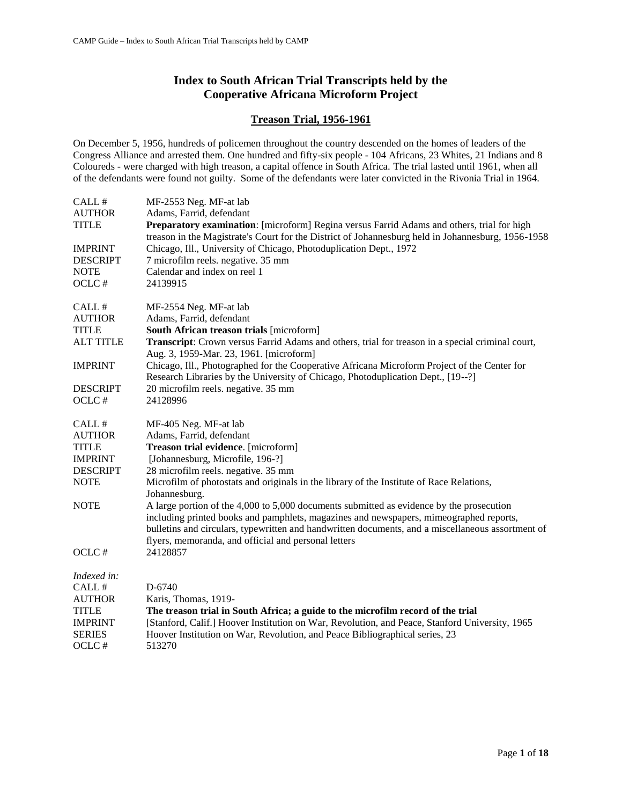# **Index to South African Trial Transcripts held by the Cooperative Africana Microform Project**

## **Treason Trial, 1956-1961**

On December 5, 1956, hundreds of policemen throughout the country descended on the homes of leaders of the Congress Alliance and arrested them. One hundred and fifty-six people - 104 Africans, 23 Whites, 21 Indians and 8 Coloureds - were charged with high treason, a capital offence in South Africa. The trial lasted until 1961, when all of the defendants were found not guilty. Some of the defendants were later convicted in the Rivonia Trial in 1964.

| CALL#            | MF-2553 Neg. MF-at lab                                                                                                                                                                                                                                                                                                                          |
|------------------|-------------------------------------------------------------------------------------------------------------------------------------------------------------------------------------------------------------------------------------------------------------------------------------------------------------------------------------------------|
| <b>AUTHOR</b>    | Adams, Farrid, defendant                                                                                                                                                                                                                                                                                                                        |
| <b>TITLE</b>     | Preparatory examination: [microform] Regina versus Farrid Adams and others, trial for high<br>treason in the Magistrate's Court for the District of Johannesburg held in Johannesburg, 1956-1958                                                                                                                                                |
| <b>IMPRINT</b>   | Chicago, Ill., University of Chicago, Photoduplication Dept., 1972                                                                                                                                                                                                                                                                              |
| <b>DESCRIPT</b>  | 7 microfilm reels. negative. 35 mm                                                                                                                                                                                                                                                                                                              |
| <b>NOTE</b>      | Calendar and index on reel 1                                                                                                                                                                                                                                                                                                                    |
| OCLC#            | 24139915                                                                                                                                                                                                                                                                                                                                        |
| CALL #           | MF-2554 Neg. MF-at lab                                                                                                                                                                                                                                                                                                                          |
| <b>AUTHOR</b>    | Adams, Farrid, defendant                                                                                                                                                                                                                                                                                                                        |
| <b>TITLE</b>     | South African treason trials [microform]                                                                                                                                                                                                                                                                                                        |
| <b>ALT TITLE</b> | Transcript: Crown versus Farrid Adams and others, trial for treason in a special criminal court,<br>Aug. 3, 1959-Mar. 23, 1961. [microform]                                                                                                                                                                                                     |
| <b>IMPRINT</b>   | Chicago, Ill., Photographed for the Cooperative Africana Microform Project of the Center for<br>Research Libraries by the University of Chicago, Photoduplication Dept., [19--?]                                                                                                                                                                |
| <b>DESCRIPT</b>  | 20 microfilm reels. negative. 35 mm                                                                                                                                                                                                                                                                                                             |
| OCLC#            | 24128996                                                                                                                                                                                                                                                                                                                                        |
| CALL#            | MF-405 Neg. MF-at lab                                                                                                                                                                                                                                                                                                                           |
| <b>AUTHOR</b>    | Adams, Farrid, defendant                                                                                                                                                                                                                                                                                                                        |
| <b>TITLE</b>     | Treason trial evidence. [microform]                                                                                                                                                                                                                                                                                                             |
| <b>IMPRINT</b>   | [Johannesburg, Microfile, 196-?]                                                                                                                                                                                                                                                                                                                |
| <b>DESCRIPT</b>  | 28 microfilm reels. negative. 35 mm                                                                                                                                                                                                                                                                                                             |
| <b>NOTE</b>      | Microfilm of photostats and originals in the library of the Institute of Race Relations,<br>Johannesburg.                                                                                                                                                                                                                                       |
| <b>NOTE</b>      | A large portion of the 4,000 to 5,000 documents submitted as evidence by the prosecution<br>including printed books and pamphlets, magazines and newspapers, mimeographed reports,<br>bulletins and circulars, typewritten and handwritten documents, and a miscellaneous assortment of<br>flyers, memoranda, and official and personal letters |
| OCLC#            | 24128857                                                                                                                                                                                                                                                                                                                                        |
| Indexed in:      |                                                                                                                                                                                                                                                                                                                                                 |
| CALL#            | D-6740                                                                                                                                                                                                                                                                                                                                          |
| <b>AUTHOR</b>    | Karis, Thomas, 1919-                                                                                                                                                                                                                                                                                                                            |
| <b>TITLE</b>     | The treason trial in South Africa; a guide to the microfilm record of the trial                                                                                                                                                                                                                                                                 |
| <b>IMPRINT</b>   | [Stanford, Calif.] Hoover Institution on War, Revolution, and Peace, Stanford University, 1965                                                                                                                                                                                                                                                  |
| <b>SERIES</b>    | Hoover Institution on War, Revolution, and Peace Bibliographical series, 23                                                                                                                                                                                                                                                                     |
| OCLC#            | 513270                                                                                                                                                                                                                                                                                                                                          |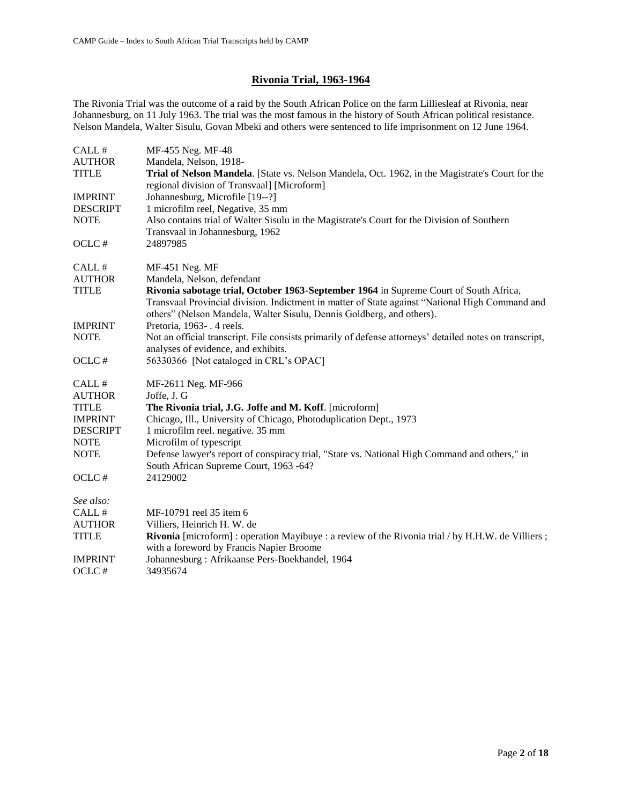# **Rivonia Trial, 1963-1964**

The Rivonia Trial was the outcome of a raid by the South African Police on the farm Lilliesleaf at Rivonia, near Johannesburg, on 11 July 1963. The trial was the most famous in the history of South African political resistance. Nelson Mandela, Walter Sisulu, Govan Mbeki and others were sentenced to life imprisonment on 12 June 1964.

| CALL#           | MF-455 Neg. MF-48                                                                                                                                                                                                                                                 |
|-----------------|-------------------------------------------------------------------------------------------------------------------------------------------------------------------------------------------------------------------------------------------------------------------|
| <b>AUTHOR</b>   | Mandela, Nelson, 1918-                                                                                                                                                                                                                                            |
| <b>TITLE</b>    | Trial of Nelson Mandela. [State vs. Nelson Mandela, Oct. 1962, in the Magistrate's Court for the<br>regional division of Transvaal] [Microform]                                                                                                                   |
| <b>IMPRINT</b>  | Johannesburg, Microfile [19--?]                                                                                                                                                                                                                                   |
| <b>DESCRIPT</b> | 1 microfilm reel, Negative, 35 mm                                                                                                                                                                                                                                 |
| <b>NOTE</b>     | Also contains trial of Walter Sisulu in the Magistrate's Court for the Division of Southern<br>Transvaal in Johannesburg, 1962                                                                                                                                    |
| OCLC#           | 24897985                                                                                                                                                                                                                                                          |
| CALL #          | MF-451 Neg. MF                                                                                                                                                                                                                                                    |
| <b>AUTHOR</b>   | Mandela, Nelson, defendant                                                                                                                                                                                                                                        |
| <b>TITLE</b>    | Rivonia sabotage trial, October 1963-September 1964 in Supreme Court of South Africa,<br>Transvaal Provincial division. Indictment in matter of State against "National High Command and<br>others" (Nelson Mandela, Walter Sisulu, Dennis Goldberg, and others). |
| <b>IMPRINT</b>  | Pretoria, 1963-. 4 reels.                                                                                                                                                                                                                                         |
| <b>NOTE</b>     | Not an official transcript. File consists primarily of defense attorneys' detailed notes on transcript,<br>analyses of evidence, and exhibits.                                                                                                                    |
| OCLC#           | 56330366 [Not cataloged in CRL's OPAC]                                                                                                                                                                                                                            |
| CALL#           | MF-2611 Neg. MF-966                                                                                                                                                                                                                                               |
| <b>AUTHOR</b>   | Joffe, J. G                                                                                                                                                                                                                                                       |
| <b>TITLE</b>    | The Rivonia trial, J.G. Joffe and M. Koff. [microform]                                                                                                                                                                                                            |
| <b>IMPRINT</b>  | Chicago, Ill., University of Chicago, Photoduplication Dept., 1973                                                                                                                                                                                                |
| <b>DESCRIPT</b> | 1 microfilm reel. negative. 35 mm                                                                                                                                                                                                                                 |
| <b>NOTE</b>     | Microfilm of typescript                                                                                                                                                                                                                                           |
| <b>NOTE</b>     | Defense lawyer's report of conspiracy trial, "State vs. National High Command and others," in<br>South African Supreme Court, 1963 -64?                                                                                                                           |
| OCLC#           | 24129002                                                                                                                                                                                                                                                          |
| See also:       |                                                                                                                                                                                                                                                                   |
| CALL #          | MF-10791 reel 35 item 6                                                                                                                                                                                                                                           |
| <b>AUTHOR</b>   | Villiers, Heinrich H. W. de                                                                                                                                                                                                                                       |
| <b>TITLE</b>    | Rivonia [microform] : operation Mayibuye : a review of the Rivonia trial / by H.H.W. de Villiers ;<br>with a foreword by Francis Napier Broome                                                                                                                    |
| <b>IMPRINT</b>  | Johannesburg: Afrikaanse Pers-Boekhandel, 1964                                                                                                                                                                                                                    |
| OCLC#           | 34935674                                                                                                                                                                                                                                                          |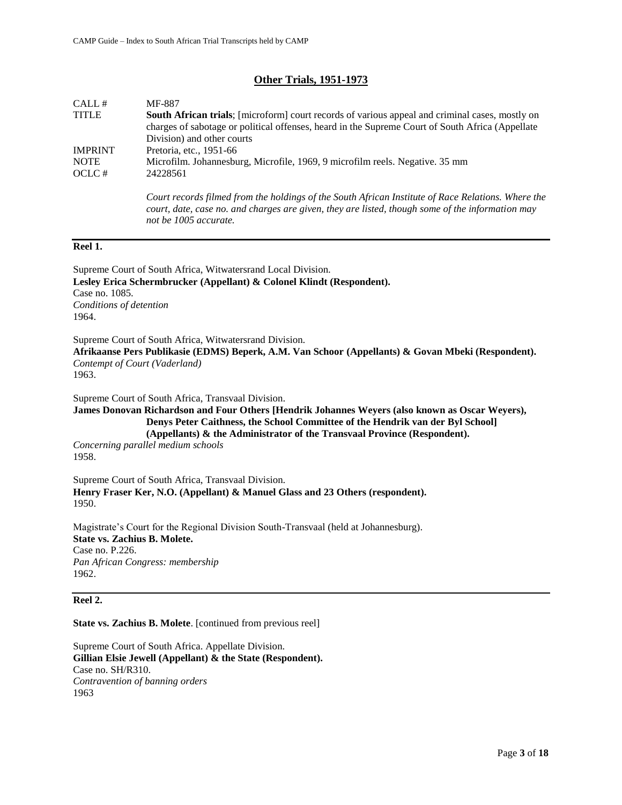## **Other Trials, 1951-1973**

| CALL#          | MF-887                                                                                                  |
|----------------|---------------------------------------------------------------------------------------------------------|
| <b>TITLE</b>   | <b>South African trials</b> ; [microform] court records of various appeal and criminal cases, mostly on |
|                | charges of sabotage or political offenses, heard in the Supreme Court of South Africa (Appellate        |
|                | Division) and other courts                                                                              |
| <b>IMPRINT</b> | Pretoria, etc., 1951-66                                                                                 |
| <b>NOTE</b>    | Microfilm. Johannesburg, Microfile, 1969, 9 microfilm reels. Negative. 35 mm                            |
| OCLC#          | 24228561                                                                                                |
|                |                                                                                                         |

*Court records filmed from the holdings of the South African Institute of Race Relations. Where the court, date, case no. and charges are given, they are listed, though some of the information may not be 1005 accurate.* 

#### **Reel 1.**

Supreme Court of South Africa, Witwatersrand Local Division. **Lesley Erica Schermbrucker (Appellant) & Colonel Klindt (Respondent).**  Case no. 1085. *Conditions of detention* 1964.

Supreme Court of South Africa, Witwatersrand Division.

**Afrikaanse Pers Publikasie (EDMS) Beperk, A.M. Van Schoor (Appellants) & Govan Mbeki (Respondent).** *Contempt of Court (Vaderland)*

1963.

Supreme Court of South Africa, Transvaal Division.

**James Donovan Richardson and Four Others [Hendrik Johannes Weyers (also known as Oscar Weyers), Denys Peter Caithness, the School Committee of the Hendrik van der Byl School] (Appellants) & the Administrator of the Transvaal Province (Respondent).** 

*Concerning parallel medium schools* 1958.

Supreme Court of South Africa, Transvaal Division. **Henry Fraser Ker, N.O. (Appellant) & Manuel Glass and 23 Others (respondent).**  1950.

Magistrate's Court for the Regional Division South-Transvaal (held at Johannesburg). **State vs. Zachius B. Molete.**  Case no. P.226. *Pan African Congress: membership* 1962.

#### **Reel 2.**

**State vs. Zachius B. Molete**. [continued from previous reel]

Supreme Court of South Africa. Appellate Division. **Gillian Elsie Jewell (Appellant) & the State (Respondent).**  Case no. SH/R310. *Contravention of banning orders* 1963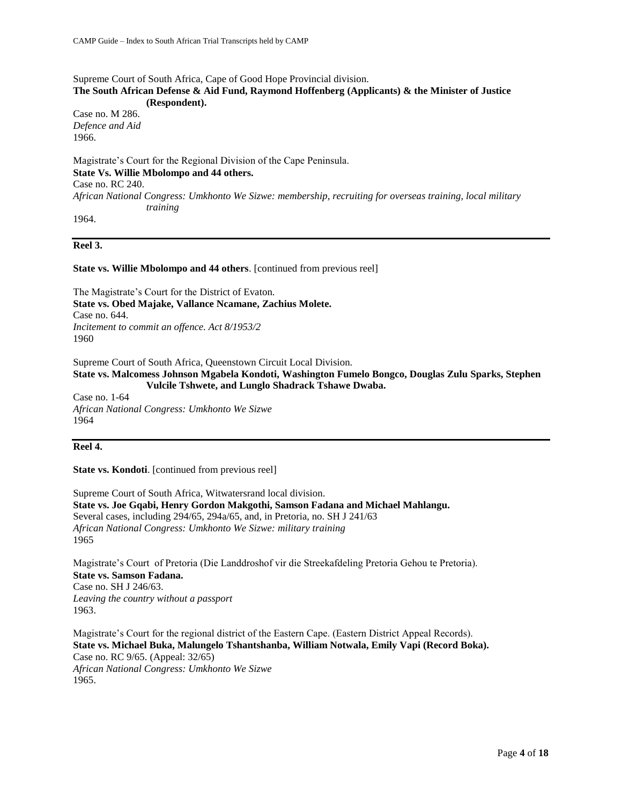Supreme Court of South Africa, Cape of Good Hope Provincial division.

#### **The South African Defense & Aid Fund, Raymond Hoffenberg (Applicants) & the Minister of Justice (Respondent).**

Case no. M 286. *Defence and Aid* 1966.

Magistrate's Court for the Regional Division of the Cape Peninsula. **State Vs. Willie Mbolompo and 44 others.**  Case no. RC 240. *African National Congress: Umkhonto We Sizwe: membership, recruiting for overseas training, local military training*

1964.

## **Reel 3.**

#### **State vs. Willie Mbolompo and 44 others**. [continued from previous reel]

The Magistrate's Court for the District of Evaton. **State vs. Obed Majake, Vallance Ncamane, Zachius Molete.**  Case no. 644. *Incitement to commit an offence. Act 8/1953/2* 1960

Supreme Court of South Africa, Queenstown Circuit Local Division.

**State vs. Malcomess Johnson Mgabela Kondoti, Washington Fumelo Bongco, Douglas Zulu Sparks, Stephen Vulcile Tshwete, and Lunglo Shadrack Tshawe Dwaba.**

Case no. 1-64 *African National Congress: Umkhonto We Sizwe* 1964

## **Reel 4.**

#### **State vs. Kondoti**. [continued from previous reel]

Supreme Court of South Africa, Witwatersrand local division. **State vs. Joe Gqabi, Henry Gordon Makgothi, Samson Fadana and Michael Mahlangu.**  Several cases, including 294/65, 294a/65, and, in Pretoria, no. SH J 241/63 *African National Congress: Umkhonto We Sizwe: military training* 1965

Magistrate's Court of Pretoria (Die Landdroshof vir die Streekafdeling Pretoria Gehou te Pretoria). **State vs. Samson Fadana.**  Case no. SH J 246/63. *Leaving the country without a passport* 1963.

Magistrate's Court for the regional district of the Eastern Cape. (Eastern District Appeal Records). **State vs. Michael Buka, Malungelo Tshantshanba, William Notwala, Emily Vapi (Record Boka).**  Case no. RC 9/65. (Appeal: 32/65) *African National Congress: Umkhonto We Sizwe* 1965.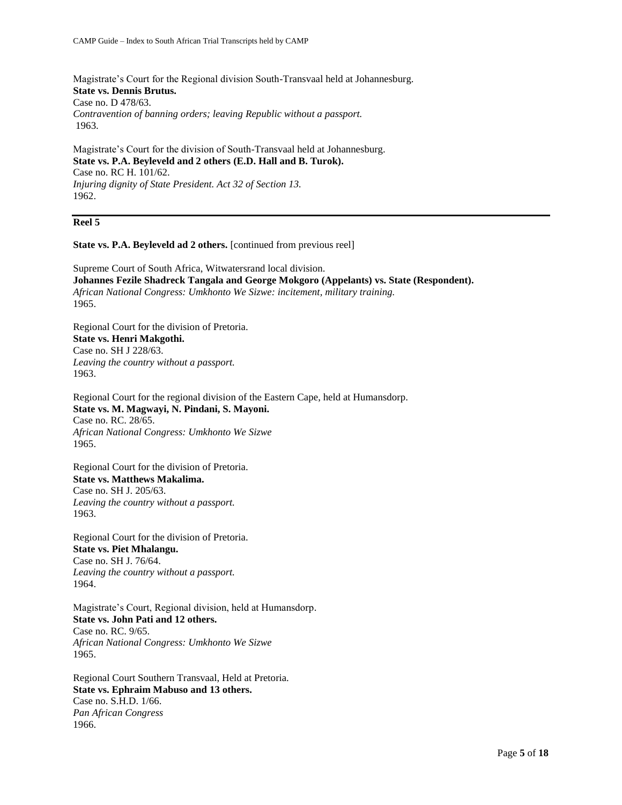Magistrate's Court for the Regional division South-Transvaal held at Johannesburg. **State vs. Dennis Brutus.**  Case no. D 478/63. *Contravention of banning orders; leaving Republic without a passport.* 1963.

Magistrate's Court for the division of South-Transvaal held at Johannesburg. **State vs. P.A. Beyleveld and 2 others (E.D. Hall and B. Turok).**  Case no. RC H. 101/62. *Injuring dignity of State President. Act 32 of Section 13.* 1962.

## **Reel 5**

**State vs. P.A. Beyleveld ad 2 others.** [continued from previous reel]

Supreme Court of South Africa, Witwatersrand local division. **Johannes Fezile Shadreck Tangala and George Mokgoro (Appelants) vs. State (Respondent).**  *African National Congress: Umkhonto We Sizwe: incitement, military training.* 1965.

Regional Court for the division of Pretoria. **State vs. Henri Makgothi.** Case no. SH J 228/63. *Leaving the country without a passport.* 1963.

Regional Court for the regional division of the Eastern Cape, held at Humansdorp. **State vs. M. Magwayi, N. Pindani, S. Mayoni.**  Case no. RC. 28/65. *African National Congress: Umkhonto We Sizwe* 1965.

Regional Court for the division of Pretoria. **State vs. Matthews Makalima.**  Case no. SH J. 205/63. *Leaving the country without a passport.* 1963.

Regional Court for the division of Pretoria. **State vs. Piet Mhalangu.**  Case no. SH J. 76/64. *Leaving the country without a passport.* 1964.

Magistrate's Court, Regional division, held at Humansdorp. **State vs. John Pati and 12 others.**  Case no. RC. 9/65. *African National Congress: Umkhonto We Sizwe* 1965.

Regional Court Southern Transvaal, Held at Pretoria. **State vs. Ephraim Mabuso and 13 others.**  Case no. S.H.D. 1/66. *Pan African Congress* 1966.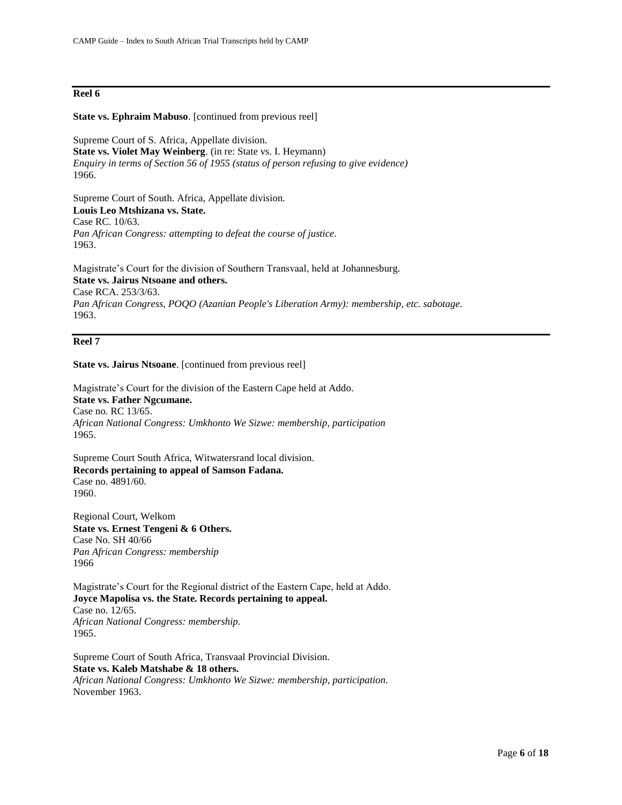## **Reel 6**

#### **State vs. Ephraim Mabuso**. [continued from previous reel]

Supreme Court of S. Africa, Appellate division. **State vs. Violet May Weinberg**. (in re: State vs. I. Heymann) *Enquiry in terms of Section 56 of 1955 (status of person refusing to give evidence)* 1966.

Supreme Court of South. Africa, Appellate division. **Louis Leo Mtshizana vs. State.**  Case RC. 10/63. *Pan African Congress: attempting to defeat the course of justice.* 1963.

Magistrate's Court for the division of Southern Transvaal, held at Johannesburg. **State vs. Jairus Ntsoane and others.**  Case RCA. 253/3/63. *Pan African Congress, POQO (Azanian People's Liberation Army): membership, etc. sabotage.* 1963.

## **Reel 7**

**State vs. Jairus Ntsoane**. [continued from previous reel]

Magistrate's Court for the division of the Eastern Cape held at Addo. **State vs. Father Ngcumane.**  Case no. RC 13/65. *African National Congress: Umkhonto We Sizwe: membership, participation* 1965.

Supreme Court South Africa, Witwatersrand local division. **Records pertaining to appeal of Samson Fadana.** Case no. 4891/60. 1960.

Regional Court, Welkom **State vs. Ernest Tengeni & 6 Others.**  Case No. SH 40/66 *Pan African Congress: membership* 1966

Magistrate's Court for the Regional district of the Eastern Cape, held at Addo. **Joyce Mapolisa vs. the State. Records pertaining to appeal.** Case no. 12/65. *African National Congress: membership.* 1965.

Supreme Court of South Africa, Transvaal Provincial Division. **State vs. Kaleb Matshabe & 18 others.**  *African National Congress: Umkhonto We Sizwe: membership, participation.*  November 1963.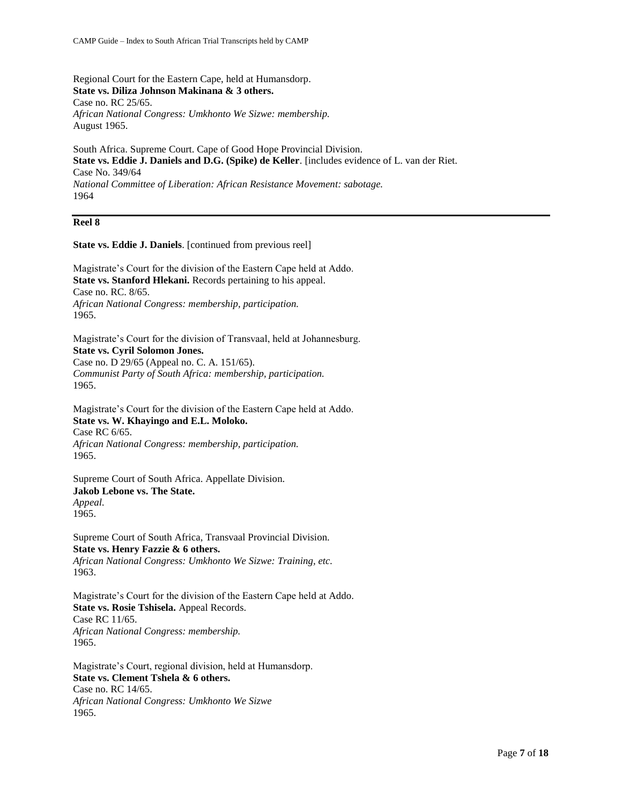Regional Court for the Eastern Cape, held at Humansdorp. **State vs. Diliza Johnson Makinana & 3 others.**  Case no. RC 25/65. *African National Congress: Umkhonto We Sizwe: membership.* August 1965.

South Africa. Supreme Court. Cape of Good Hope Provincial Division. **State vs. Eddie J. Daniels and D.G. (Spike) de Keller**. [includes evidence of L. van der Riet. Case No. 349/64 *National Committee of Liberation: African Resistance Movement: sabotage.* 1964

#### **Reel 8**

**State vs. Eddie J. Daniels**. [continued from previous reel]

Magistrate's Court for the division of the Eastern Cape held at Addo. **State vs. Stanford Hlekani.** Records pertaining to his appeal. Case no. RC. 8/65. *African National Congress: membership, participation.*  1965.

Magistrate's Court for the division of Transvaal, held at Johannesburg. **State vs. Cyril Solomon Jones.**  Case no. D 29/65 (Appeal no. C. A. 151/65). *Communist Party of South Africa: membership, participation.* 1965.

Magistrate's Court for the division of the Eastern Cape held at Addo. **State vs. W. Khayingo and E.L. Moloko.** Case RC 6/65. *African National Congress: membership, participation.*  1965.

Supreme Court of South Africa. Appellate Division. **Jakob Lebone vs. The State.**  *Appeal.*  1965.

Supreme Court of South Africa, Transvaal Provincial Division. **State vs. Henry Fazzie & 6 others.**  *African National Congress: Umkhonto We Sizwe: Training, etc.* 1963.

Magistrate's Court for the division of the Eastern Cape held at Addo. **State vs. Rosie Tshisela.** Appeal Records. Case RC 11/65. *African National Congress: membership.* 1965.

Magistrate's Court, regional division, held at Humansdorp. **State vs. Clement Tshela & 6 others.**  Case no. RC 14/65. *African National Congress: Umkhonto We Sizwe* 1965.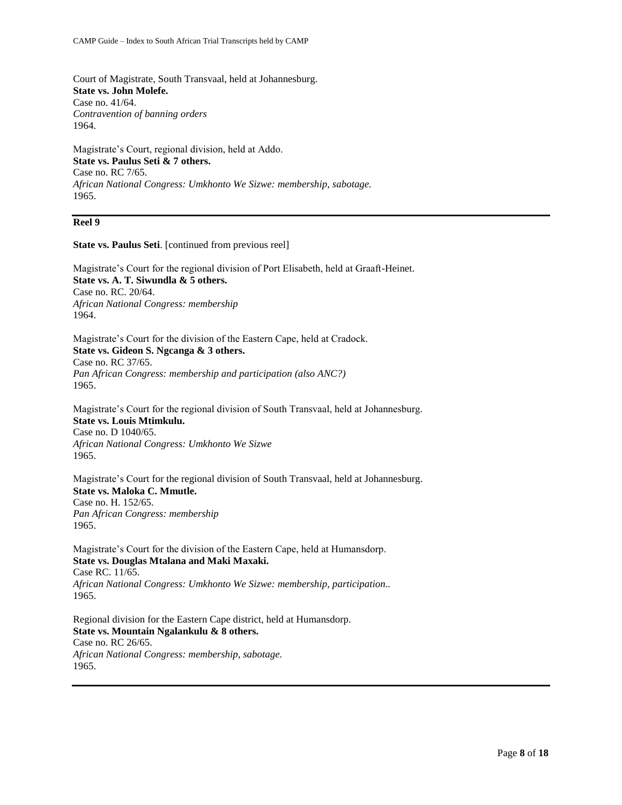Court of Magistrate, South Transvaal, held at Johannesburg. **State vs. John Molefe.**  Case no. 41/64. *Contravention of banning orders* 1964.

Magistrate's Court, regional division, held at Addo. **State vs. Paulus Seti & 7 others.**  Case no. RC 7/65. *African National Congress: Umkhonto We Sizwe: membership, sabotage.* 1965.

#### **Reel 9**

**State vs. Paulus Seti**. [continued from previous reel]

Magistrate's Court for the regional division of Port Elisabeth, held at Graaft-Heinet. **State vs. A. T. Siwundla & 5 others.**  Case no. RC. 20/64. *African National Congress: membership* 1964.

Magistrate's Court for the division of the Eastern Cape, held at Cradock. **State vs. Gideon S. Ngcanga & 3 others.**  Case no. RC 37/65. *Pan African Congress: membership and participation (also ANC?)* 1965.

Magistrate's Court for the regional division of South Transvaal, held at Johannesburg. **State vs. Louis Mtimkulu.**  Case no. D 1040/65. *African National Congress: Umkhonto We Sizwe* 1965.

Magistrate's Court for the regional division of South Transvaal, held at Johannesburg. **State vs. Maloka C. Mmutle.**  Case no. H. 152/65. *Pan African Congress: membership* 1965.

Magistrate's Court for the division of the Eastern Cape, held at Humansdorp. **State vs. Douglas Mtalana and Maki Maxaki.**  Case RC. 11/65. *African National Congress: Umkhonto We Sizwe: membership, participation..* 1965.

Regional division for the Eastern Cape district, held at Humansdorp. **State vs. Mountain Ngalankulu & 8 others.** Case no. RC 26/65. *African National Congress: membership, sabotage.* 1965.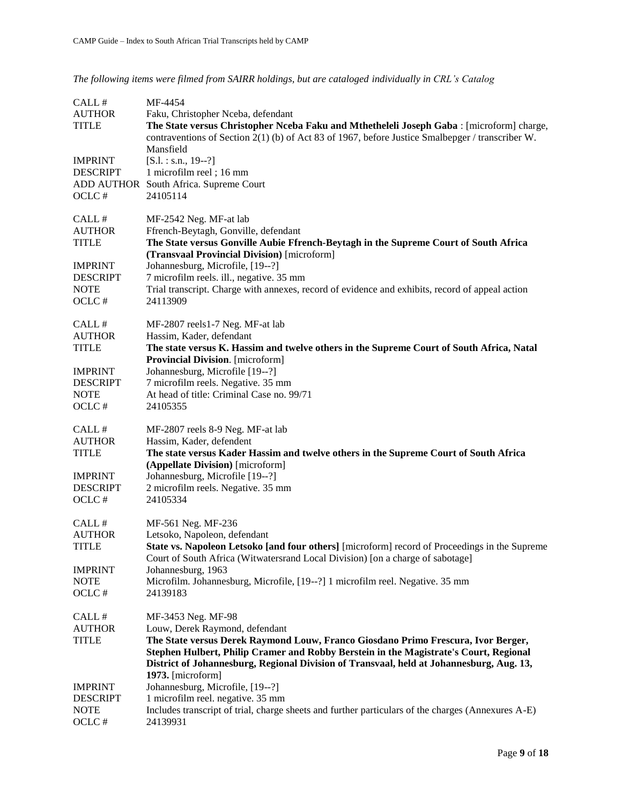*The following items were filmed from SAIRR holdings, but are cataloged individually in CRL's Catalog*

| CALL#<br><b>AUTHOR</b><br><b>TITLE</b><br><b>IMPRINT</b><br><b>DESCRIPT</b><br>OCLC#                 | MF-4454<br>Faku, Christopher Nceba, defendant<br>The State versus Christopher Nceba Faku and Mthetheleli Joseph Gaba : [microform] charge,<br>contraventions of Section 2(1) (b) of Act 83 of 1967, before Justice Smalbepger / transcriber W.<br>Mansfield<br>$[S.1.: s.n., 19-.?]$<br>1 microfilm reel; 16 mm<br>ADD AUTHOR South Africa. Supreme Court<br>24105114                                |
|------------------------------------------------------------------------------------------------------|------------------------------------------------------------------------------------------------------------------------------------------------------------------------------------------------------------------------------------------------------------------------------------------------------------------------------------------------------------------------------------------------------|
| CALL #<br><b>AUTHOR</b><br><b>TITLE</b><br><b>IMPRINT</b><br><b>DESCRIPT</b><br><b>NOTE</b><br>OCLC# | MF-2542 Neg. MF-at lab<br>Ffrench-Beytagh, Gonville, defendant<br>The State versus Gonville Aubie Ffrench-Beytagh in the Supreme Court of South Africa<br>(Transvaal Provincial Division) [microform]<br>Johannesburg, Microfile, [19--?]<br>7 microfilm reels. ill., negative. 35 mm<br>Trial transcript. Charge with annexes, record of evidence and exhibits, record of appeal action<br>24113909 |
| CALL #<br><b>AUTHOR</b><br><b>TITLE</b><br><b>IMPRINT</b><br><b>DESCRIPT</b><br><b>NOTE</b><br>OCLC# | MF-2807 reels1-7 Neg. MF-at lab<br>Hassim, Kader, defendant<br>The state versus K. Hassim and twelve others in the Supreme Court of South Africa, Natal<br>Provincial Division. [microform]<br>Johannesburg, Microfile [19--?]<br>7 microfilm reels. Negative. 35 mm<br>At head of title: Criminal Case no. 99/71<br>24105355                                                                        |
| CALL #<br><b>AUTHOR</b><br><b>TITLE</b><br><b>IMPRINT</b><br><b>DESCRIPT</b><br>OCLC $\#$            | MF-2807 reels 8-9 Neg. MF-at lab<br>Hassim, Kader, defendent<br>The state versus Kader Hassim and twelve others in the Supreme Court of South Africa<br>(Appellate Division) [microform]<br>Johannesburg, Microfile [19--?]<br>2 microfilm reels. Negative. 35 mm<br>24105334                                                                                                                        |
| CALL#<br><b>AUTHOR</b><br><b>TITLE</b><br><b>IMPRINT</b><br><b>NOTE</b><br>OCLC#                     | MF-561 Neg. MF-236<br>Letsoko, Napoleon, defendant<br>State vs. Napoleon Letsoko [and four others] [microform] record of Proceedings in the Supreme<br>Court of South Africa (Witwatersrand Local Division) [on a charge of sabotage]<br>Johannesburg, 1963<br>Microfilm. Johannesburg, Microfile, [19--?] 1 microfilm reel. Negative. 35 mm<br>24139183                                             |
| CALL#<br><b>AUTHOR</b><br><b>TITLE</b>                                                               | MF-3453 Neg. MF-98<br>Louw, Derek Raymond, defendant<br>The State versus Derek Raymond Louw, Franco Giosdano Primo Frescura, Ivor Berger,<br>Stephen Hulbert, Philip Cramer and Robby Berstein in the Magistrate's Court, Regional<br>District of Johannesburg, Regional Division of Transvaal, held at Johannesburg, Aug. 13,<br>1973. [microform]                                                  |
| <b>IMPRINT</b><br><b>DESCRIPT</b><br><b>NOTE</b><br>OCLC#                                            | Johannesburg, Microfile, [19--?]<br>1 microfilm reel. negative. 35 mm<br>Includes transcript of trial, charge sheets and further particulars of the charges (Annexures A-E)<br>24139931                                                                                                                                                                                                              |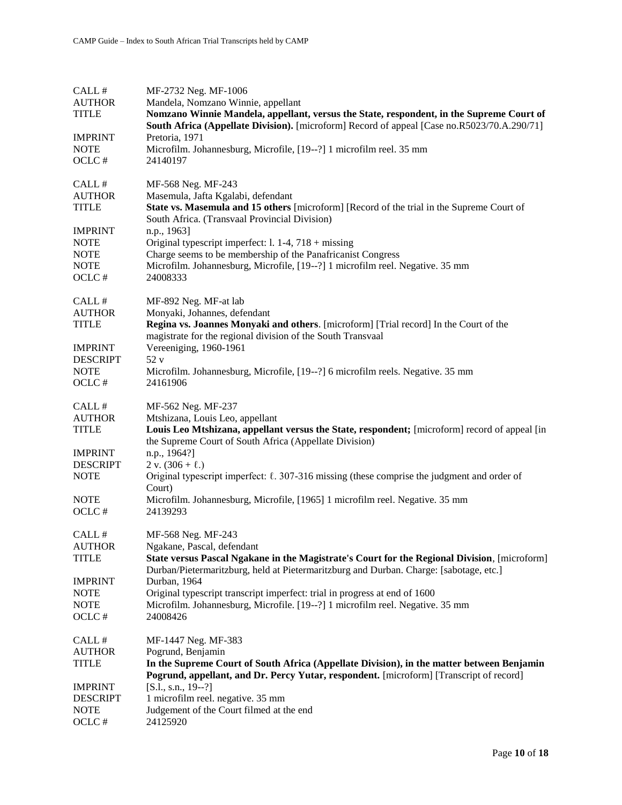| CALL#           | MF-2732 Neg. MF-1006                                                                                                                                                                   |
|-----------------|----------------------------------------------------------------------------------------------------------------------------------------------------------------------------------------|
| <b>AUTHOR</b>   | Mandela, Nomzano Winnie, appellant                                                                                                                                                     |
| <b>TITLE</b>    | Nomzano Winnie Mandela, appellant, versus the State, respondent, in the Supreme Court of                                                                                               |
|                 | <b>South Africa (Appellate Division).</b> [microform] Record of appeal [Case no.R5023/70.A.290/71]                                                                                     |
| <b>IMPRINT</b>  | Pretoria, 1971                                                                                                                                                                         |
| <b>NOTE</b>     | Microfilm. Johannesburg, Microfile, [19--?] 1 microfilm reel. 35 mm                                                                                                                    |
| OCLC#           | 24140197                                                                                                                                                                               |
| CALL #          | MF-568 Neg. MF-243                                                                                                                                                                     |
| <b>AUTHOR</b>   | Masemula, Jafta Kgalabi, defendant                                                                                                                                                     |
| <b>TITLE</b>    | State vs. Masemula and 15 others [microform] [Record of the trial in the Supreme Court of<br>South Africa. (Transvaal Provincial Division)                                             |
| <b>IMPRINT</b>  | n.p., 1963]                                                                                                                                                                            |
| <b>NOTE</b>     | Original typescript imperfect: 1. $1-4$ , $718 +$ missing                                                                                                                              |
| <b>NOTE</b>     | Charge seems to be membership of the Panafricanist Congress                                                                                                                            |
| <b>NOTE</b>     | Microfilm. Johannesburg, Microfile, [19--?] 1 microfilm reel. Negative. 35 mm                                                                                                          |
| OCLC#           | 24008333                                                                                                                                                                               |
| CALL #          | MF-892 Neg. MF-at lab                                                                                                                                                                  |
| <b>AUTHOR</b>   | Monyaki, Johannes, defendant                                                                                                                                                           |
| <b>TITLE</b>    | Regina vs. Joannes Monyaki and others. [microform] [Trial record] In the Court of the<br>magistrate for the regional division of the South Transvaal                                   |
| <b>IMPRINT</b>  | Vereeniging, 1960-1961                                                                                                                                                                 |
| <b>DESCRIPT</b> | 52v                                                                                                                                                                                    |
| <b>NOTE</b>     | Microfilm. Johannesburg, Microfile, [19--?] 6 microfilm reels. Negative. 35 mm                                                                                                         |
| OCLC#           | 24161906                                                                                                                                                                               |
| CALL #          | MF-562 Neg. MF-237                                                                                                                                                                     |
| <b>AUTHOR</b>   | Mtshizana, Louis Leo, appellant                                                                                                                                                        |
| <b>TITLE</b>    | Louis Leo Mtshizana, appellant versus the State, respondent; [microform] record of appeal [in                                                                                          |
|                 | the Supreme Court of South Africa (Appellate Division)                                                                                                                                 |
| <b>IMPRINT</b>  | n.p., 1964?]                                                                                                                                                                           |
| <b>DESCRIPT</b> | 2 v. $(306 + \ell)$                                                                                                                                                                    |
| <b>NOTE</b>     | Original typescript imperfect: $\ell$ . 307-316 missing (these comprise the judgment and order of<br>Court)                                                                            |
| <b>NOTE</b>     | Microfilm. Johannesburg, Microfile, [1965] 1 microfilm reel. Negative. 35 mm                                                                                                           |
| OCLC#           | 24139293                                                                                                                                                                               |
| CALL #          | MF-568 Neg. MF-243                                                                                                                                                                     |
| <b>AUTHOR</b>   | Ngakane, Pascal, defendant                                                                                                                                                             |
| <b>TITLE</b>    | State versus Pascal Ngakane in the Magistrate's Court for the Regional Division, [microform]<br>Durban/Pietermaritzburg, held at Pietermaritzburg and Durban. Charge: [sabotage, etc.] |
| <b>IMPRINT</b>  | Durban, 1964                                                                                                                                                                           |
| <b>NOTE</b>     | Original typescript transcript imperfect: trial in progress at end of 1600                                                                                                             |
| <b>NOTE</b>     | Microfilm. Johannesburg, Microfile. [19--?] 1 microfilm reel. Negative. 35 mm                                                                                                          |
| OCLC#           | 24008426                                                                                                                                                                               |
| CALL#           | MF-1447 Neg. MF-383                                                                                                                                                                    |
| <b>AUTHOR</b>   | Pogrund, Benjamin                                                                                                                                                                      |
| <b>TITLE</b>    | In the Supreme Court of South Africa (Appellate Division), in the matter between Benjamin<br>Pogrund, appellant, and Dr. Percy Yutar, respondent. [microform] [Transcript of record]   |
| <b>IMPRINT</b>  | $[S.1., s.n., 19--?]$                                                                                                                                                                  |
| <b>DESCRIPT</b> | 1 microfilm reel. negative. 35 mm                                                                                                                                                      |
| NOTE            | Judgement of the Court filmed at the end                                                                                                                                               |
| OCLC#           | 24125920                                                                                                                                                                               |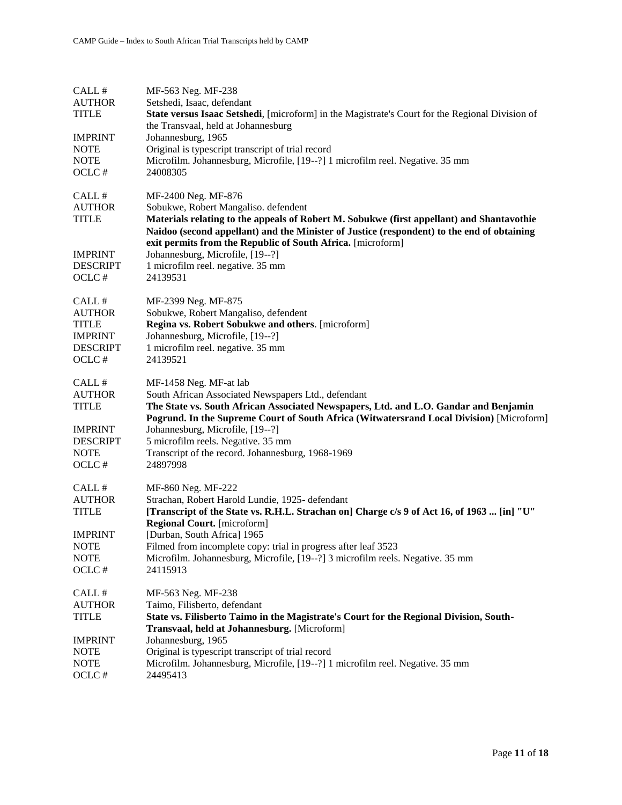| CALL#<br><b>AUTHOR</b><br><b>TITLE</b><br><b>IMPRINT</b><br><b>NOTE</b><br><b>NOTE</b><br>OCLC#      | MF-563 Neg. MF-238<br>Setshedi, Isaac, defendant<br>State versus Isaac Setshedi, [microform] in the Magistrate's Court for the Regional Division of<br>the Transvaal, held at Johannesburg<br>Johannesburg, 1965<br>Original is typescript transcript of trial record<br>Microfilm. Johannesburg, Microfile, [19--?] 1 microfilm reel. Negative. 35 mm<br>24008305                                           |
|------------------------------------------------------------------------------------------------------|--------------------------------------------------------------------------------------------------------------------------------------------------------------------------------------------------------------------------------------------------------------------------------------------------------------------------------------------------------------------------------------------------------------|
| CALL#<br><b>AUTHOR</b><br><b>TITLE</b>                                                               | MF-2400 Neg. MF-876<br>Sobukwe, Robert Mangaliso. defendent<br>Materials relating to the appeals of Robert M. Sobukwe (first appellant) and Shantavothie<br>Naidoo (second appellant) and the Minister of Justice (respondent) to the end of obtaining                                                                                                                                                       |
| <b>IMPRINT</b><br><b>DESCRIPT</b><br>OCLC#                                                           | exit permits from the Republic of South Africa. [microform]<br>Johannesburg, Microfile, [19--?]<br>1 microfilm reel. negative. 35 mm<br>24139531                                                                                                                                                                                                                                                             |
| CALL#<br><b>AUTHOR</b><br><b>TITLE</b><br><b>IMPRINT</b><br><b>DESCRIPT</b><br>OCLC#                 | MF-2399 Neg. MF-875<br>Sobukwe, Robert Mangaliso, defendent<br>Regina vs. Robert Sobukwe and others. [microform]<br>Johannesburg, Microfile, [19--?]<br>1 microfilm reel. negative. 35 mm<br>24139521                                                                                                                                                                                                        |
| CALL #<br><b>AUTHOR</b><br><b>TITLE</b><br><b>IMPRINT</b><br><b>DESCRIPT</b><br><b>NOTE</b><br>OCLC# | MF-1458 Neg. MF-at lab<br>South African Associated Newspapers Ltd., defendant<br>The State vs. South African Associated Newspapers, Ltd. and L.O. Gandar and Benjamin<br>Pogrund. In the Supreme Court of South Africa (Witwatersrand Local Division) [Microform]<br>Johannesburg, Microfile, [19--?]<br>5 microfilm reels. Negative. 35 mm<br>Transcript of the record. Johannesburg, 1968-1969<br>24897998 |
| CALL #<br><b>AUTHOR</b><br><b>TITLE</b><br><b>IMPRINT</b><br><b>NOTE</b><br><b>NOTE</b><br>OCLC#     | MF-860 Neg. MF-222<br>Strachan, Robert Harold Lundie, 1925- defendant<br>[Transcript of the State vs. R.H.L. Strachan on] Charge c/s 9 of Act 16, of 1963  [in] "U"<br><b>Regional Court.</b> [microform]<br>[Durban, South Africa] 1965<br>Filmed from incomplete copy: trial in progress after leaf 3523<br>Microfilm. Johannesburg, Microfile, [19--?] 3 microfilm reels. Negative. 35 mm<br>24115913     |
| CALL #<br><b>AUTHOR</b><br><b>TITLE</b><br><b>IMPRINT</b><br><b>NOTE</b><br><b>NOTE</b><br>OCLC#     | MF-563 Neg. MF-238<br>Taimo, Filisberto, defendant<br>State vs. Filisberto Taimo in the Magistrate's Court for the Regional Division, South-<br>Transvaal, held at Johannesburg. [Microform]<br>Johannesburg, 1965<br>Original is typescript transcript of trial record<br>Microfilm. Johannesburg, Microfile, [19--?] 1 microfilm reel. Negative. 35 mm<br>24495413                                         |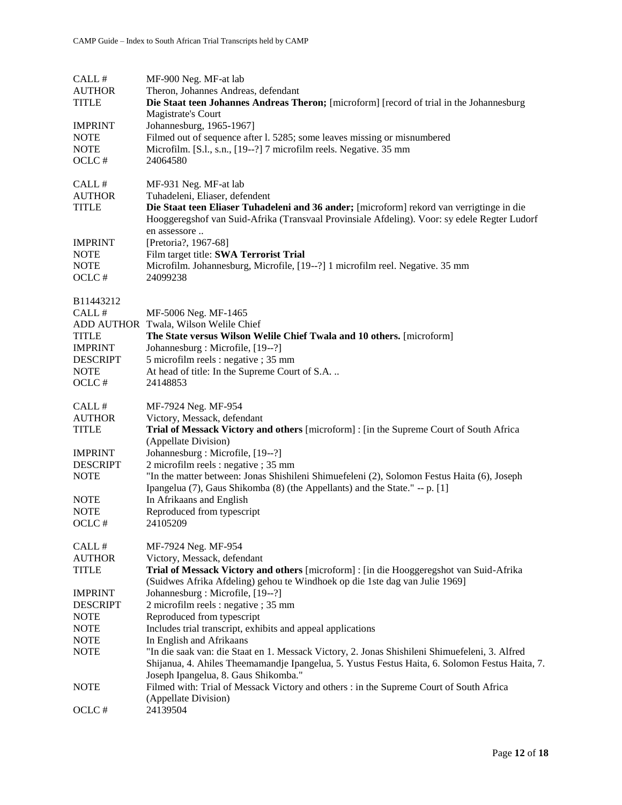| CALL#                 | MF-900 Neg. MF-at lab                                                                                                                   |
|-----------------------|-----------------------------------------------------------------------------------------------------------------------------------------|
| <b>AUTHOR</b>         | Theron, Johannes Andreas, defendant                                                                                                     |
| <b>TITLE</b>          | Die Staat teen Johannes Andreas Theron; [microform] [record of trial in the Johannesburg                                                |
|                       | Magistrate's Court                                                                                                                      |
| <b>IMPRINT</b>        | Johannesburg, 1965-1967]                                                                                                                |
| <b>NOTE</b>           | Filmed out of sequence after 1. 5285; some leaves missing or misnumbered                                                                |
| <b>NOTE</b>           | Microfilm. [S.l., s.n., [19--?] 7 microfilm reels. Negative. 35 mm                                                                      |
| OCLC#                 | 24064580                                                                                                                                |
| CALL#                 | MF-931 Neg. MF-at lab                                                                                                                   |
| <b>AUTHOR</b>         | Tuhadeleni, Eliaser, defendent                                                                                                          |
| <b>TITLE</b>          | Die Staat teen Eliaser Tuhadeleni and 36 ander; [microform] rekord van verrigtinge in die                                               |
|                       | Hooggeregshof van Suid-Afrika (Transvaal Provinsiale Afdeling). Voor: sy edele Regter Ludorf                                            |
|                       | en assessore                                                                                                                            |
| <b>IMPRINT</b>        | [Pretoria?, 1967-68]                                                                                                                    |
| <b>NOTE</b>           | Film target title: SWA Terrorist Trial                                                                                                  |
| <b>NOTE</b>           | Microfilm. Johannesburg, Microfile, [19--?] 1 microfilm reel. Negative. 35 mm                                                           |
| OCLC#                 | 24099238                                                                                                                                |
| B11443212             |                                                                                                                                         |
| CALL#                 | MF-5006 Neg. MF-1465                                                                                                                    |
|                       | ADD AUTHOR Twala, Wilson Welile Chief                                                                                                   |
| <b>TITLE</b>          | The State versus Wilson Welle Chief Twala and 10 others. [microform]                                                                    |
| <b>IMPRINT</b>        | Johannesburg : Microfile, [19--?]                                                                                                       |
| <b>DESCRIPT</b>       | 5 microfilm reels : negative ; 35 mm                                                                                                    |
| <b>NOTE</b>           | At head of title: In the Supreme Court of S.A.                                                                                          |
| OCLC#                 | 24148853                                                                                                                                |
| CALL#                 | MF-7924 Neg. MF-954                                                                                                                     |
| <b>AUTHOR</b>         | Victory, Messack, defendant                                                                                                             |
| <b>TITLE</b>          | Trial of Messack Victory and others [microform] : [in the Supreme Court of South Africa                                                 |
|                       | (Appellate Division)                                                                                                                    |
| <b>IMPRINT</b>        | Johannesburg: Microfile, [19--?]                                                                                                        |
| <b>DESCRIPT</b>       | 2 microfilm reels : negative ; 35 mm                                                                                                    |
| <b>NOTE</b>           | "In the matter between: Jonas Shishileni Shimuefeleni (2), Solomon Festus Haita (6), Joseph                                             |
|                       | Ipangelua (7), Gaus Shikomba (8) (the Appellants) and the State." -- p. [1]                                                             |
| $\operatorname{NOTE}$ | In Afrikaans and English                                                                                                                |
| <b>NOTE</b>           | Reproduced from typescript                                                                                                              |
| OCLC#                 | 24105209                                                                                                                                |
| CALL#                 | MF-7924 Neg. MF-954                                                                                                                     |
| <b>AUTHOR</b>         | Victory, Messack, defendant                                                                                                             |
| <b>TITLE</b>          | Trial of Messack Victory and others [microform] : [in die Hooggeregshot van Suid-Afrika                                                 |
|                       | (Suidwes Afrika Afdeling) gehou te Windhoek op die 1ste dag van Julie 1969]                                                             |
| <b>IMPRINT</b>        | Johannesburg: Microfile, [19--?]                                                                                                        |
| <b>DESCRIPT</b>       | 2 microfilm reels : negative ; 35 mm                                                                                                    |
| <b>NOTE</b>           | Reproduced from typescript                                                                                                              |
| <b>NOTE</b>           | Includes trial transcript, exhibits and appeal applications                                                                             |
| <b>NOTE</b>           | In English and Afrikaans                                                                                                                |
| <b>NOTE</b>           | "In die saak van: die Staat en 1. Messack Victory, 2. Jonas Shishileni Shimuefeleni, 3. Alfred                                          |
|                       | Shijanua, 4. Ahiles Theemamandje Ipangelua, 5. Yustus Festus Haita, 6. Solomon Festus Haita, 7.<br>Joseph Ipangelua, 8. Gaus Shikomba." |
| <b>NOTE</b>           | Filmed with: Trial of Messack Victory and others : in the Supreme Court of South Africa                                                 |
|                       | (Appellate Division)                                                                                                                    |
| OCLC#                 | 24139504                                                                                                                                |
|                       |                                                                                                                                         |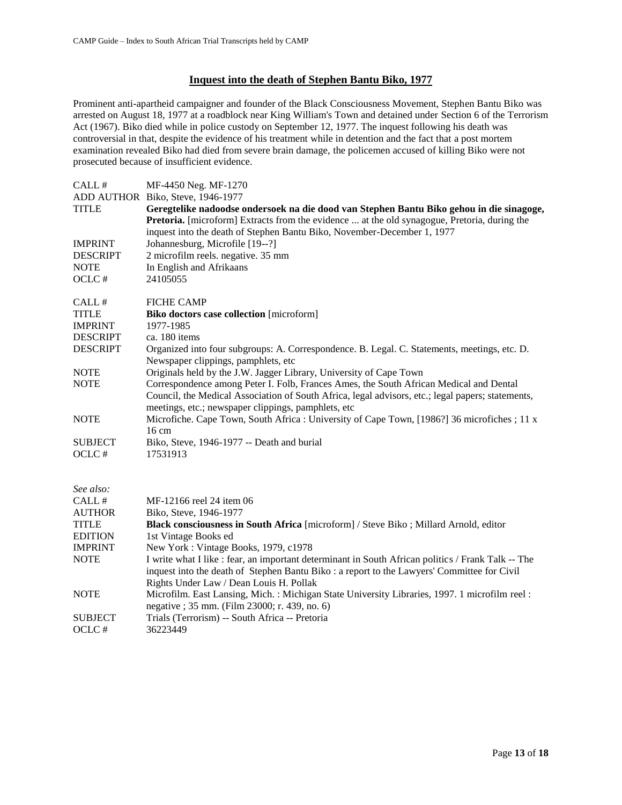#### **Inquest into the death of Stephen Bantu Biko, 1977**

Prominent anti-apartheid campaigner and founder of the Black Consciousness Movement, Stephen Bantu Biko was arrested on August 18, 1977 at a roadblock near King William's Town and detained under Section 6 of the Terrorism Act (1967). Biko died while in police custody on September 12, 1977. The inquest following his death was controversial in that, despite the evidence of his treatment while in detention and the fact that a post mortem examination revealed Biko had died from severe brain damage, the policemen accused of killing Biko were not prosecuted because of insufficient evidence.

| CALL#                 | MF-4450 Neg. MF-1270                                                                                                                         |
|-----------------------|----------------------------------------------------------------------------------------------------------------------------------------------|
|                       | ADD AUTHOR Biko, Steve, 1946-1977                                                                                                            |
| <b>TITLE</b>          | Geregtelike nadoodse ondersoek na die dood van Stephen Bantu Biko gehou in die sinagoge,                                                     |
|                       | <b>Pretoria.</b> [microform] Extracts from the evidence  at the old synagogue, Pretoria, during the                                          |
|                       | inquest into the death of Stephen Bantu Biko, November-December 1, 1977                                                                      |
| <b>IMPRINT</b>        | Johannesburg, Microfile [19--?]                                                                                                              |
| <b>DESCRIPT</b>       | 2 microfilm reels. negative. 35 mm                                                                                                           |
| $\operatorname{NOTE}$ | In English and Afrikaans                                                                                                                     |
| OCLC#                 | 24105055                                                                                                                                     |
| CALL#                 | <b>FICHE CAMP</b>                                                                                                                            |
| <b>TITLE</b>          | <b>Biko doctors case collection</b> [microform]                                                                                              |
| <b>IMPRINT</b>        | 1977-1985                                                                                                                                    |
| <b>DESCRIPT</b>       | ca. 180 items                                                                                                                                |
| <b>DESCRIPT</b>       | Organized into four subgroups: A. Correspondence. B. Legal. C. Statements, meetings, etc. D.<br>Newspaper clippings, pamphlets, etc          |
| <b>NOTE</b>           | Originals held by the J.W. Jagger Library, University of Cape Town                                                                           |
| <b>NOTE</b>           | Correspondence among Peter I. Folb, Frances Ames, the South African Medical and Dental                                                       |
|                       | Council, the Medical Association of South Africa, legal advisors, etc.; legal papers; statements,                                            |
|                       | meetings, etc.; newspaper clippings, pamphlets, etc                                                                                          |
| <b>NOTE</b>           | Microfiche. Cape Town, South Africa : University of Cape Town, [1986?] 36 microfiches ; 11 x                                                 |
|                       | 16 cm                                                                                                                                        |
| <b>SUBJECT</b>        | Biko, Steve, 1946-1977 -- Death and burial                                                                                                   |
| OCLC#                 | 17531913                                                                                                                                     |
|                       |                                                                                                                                              |
| See also:             |                                                                                                                                              |
| CALL#                 | MF-12166 reel 24 item 06                                                                                                                     |
| <b>AUTHOR</b>         | Biko, Steve, 1946-1977                                                                                                                       |
| <b>TITLE</b>          | Black consciousness in South Africa [microform] / Steve Biko; Millard Arnold, editor                                                         |
| <b>EDITION</b>        | 1st Vintage Books ed                                                                                                                         |
| <b>IMPRINT</b>        | New York: Vintage Books, 1979, c1978                                                                                                         |
| <b>NOTE</b>           | I write what I like : fear, an important determinant in South African politics / Frank Talk -- The                                           |
|                       | inquest into the death of Stephen Bantu Biko: a report to the Lawyers' Committee for Civil                                                   |
| <b>NOTE</b>           | Rights Under Law / Dean Louis H. Pollak                                                                                                      |
|                       | Microfilm. East Lansing, Mich.: Michigan State University Libraries, 1997. 1 microfilm reel:<br>negative; 35 mm. (Film 23000; r. 439, no. 6) |
| <b>SUBJECT</b>        | Trials (Terrorism) -- South Africa -- Pretoria                                                                                               |
| OCLC#                 | 36223449                                                                                                                                     |
|                       |                                                                                                                                              |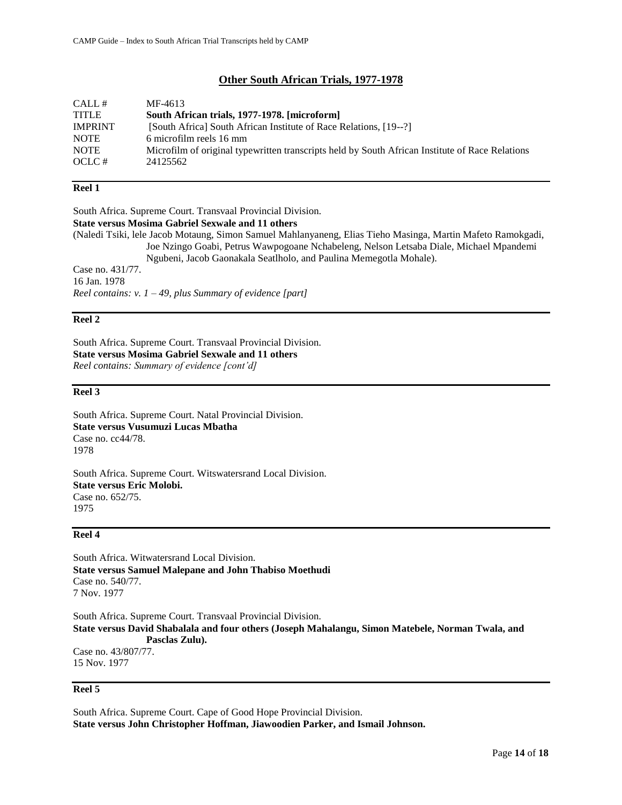## **Other South African Trials, 1977-1978**

| CALL#          | MF-4613                                                                                         |
|----------------|-------------------------------------------------------------------------------------------------|
| <b>TITLE</b>   | South African trials, 1977-1978. [microform]                                                    |
| <b>IMPRINT</b> | [South Africa] South African Institute of Race Relations, [19--?]                               |
| <b>NOTE</b>    | 6 microfilm reels 16 mm                                                                         |
| <b>NOTE</b>    | Microfilm of original typewritten transcripts held by South African Institute of Race Relations |
| OCLC#          | 24125562                                                                                        |

#### **Reel 1**

South Africa. Supreme Court. Transvaal Provincial Division. **State versus Mosima Gabriel Sexwale and 11 others**  (Naledi Tsiki, lele Jacob Motaung, Simon Samuel Mahlanyaneng, Elias Tieho Masinga, Martin Mafeto Ramokgadi, Joe Nzingo Goabi, Petrus Wawpogoane Nchabeleng, Nelson Letsaba Diale, Michael Mpandemi Ngubeni, Jacob Gaonakala Seatlholo, and Paulina Memegotla Mohale). Case no. 431/77. 16 Jan. 1978 *Reel contains: v. 1 – 49, plus Summary of evidence [part]*

#### **Reel 2**

South Africa. Supreme Court. Transvaal Provincial Division. **State versus Mosima Gabriel Sexwale and 11 others** *Reel contains: Summary of evidence [cont'd]*

#### **Reel 3**

South Africa. Supreme Court. Natal Provincial Division. **State versus Vusumuzi Lucas Mbatha**  Case no. cc44/78. 1978

South Africa. Supreme Court. Witswatersrand Local Division. **State versus Eric Molobi.** Case no. 652/75. 1975

#### **Reel 4**

South Africa. Witwatersrand Local Division. **State versus Samuel Malepane and John Thabiso Moethudi**  Case no. 540/77. 7 Nov. 1977

South Africa. Supreme Court. Transvaal Provincial Division. **State versus David Shabalala and four others (Joseph Mahalangu, Simon Matebele, Norman Twala, and Pasclas Zulu).**  Case no. 43/807/77. 15 Nov. 1977

## **Reel 5**

South Africa. Supreme Court. Cape of Good Hope Provincial Division. **State versus John Christopher Hoffman, Jiawoodien Parker, and Ismail Johnson.**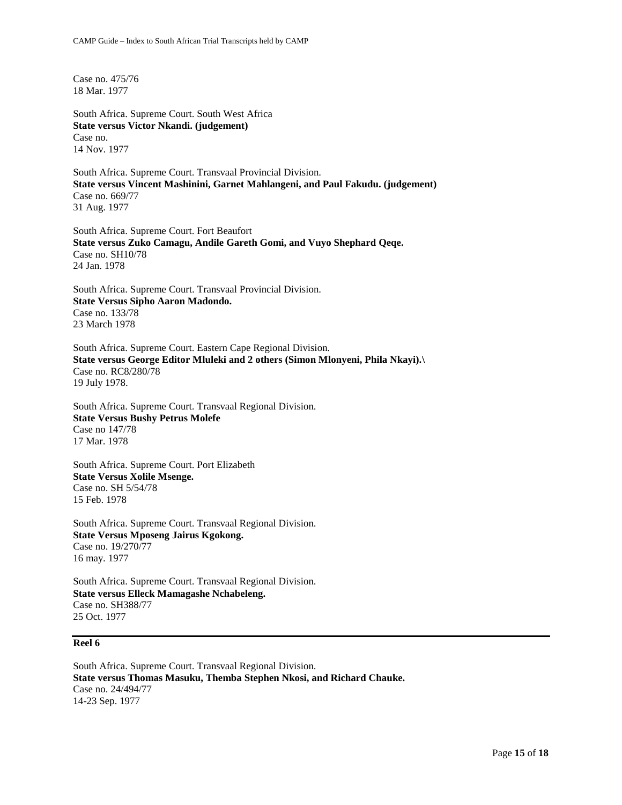Case no. 475/76 18 Mar. 1977

South Africa. Supreme Court. South West Africa **State versus Victor Nkandi. (judgement)** Case no. 14 Nov. 1977

South Africa. Supreme Court. Transvaal Provincial Division. **State versus Vincent Mashinini, Garnet Mahlangeni, and Paul Fakudu. (judgement)** Case no. 669/77 31 Aug. 1977

South Africa. Supreme Court. Fort Beaufort **State versus Zuko Camagu, Andile Gareth Gomi, and Vuyo Shephard Qeqe.**  Case no. SH10/78 24 Jan. 1978

South Africa. Supreme Court. Transvaal Provincial Division. **State Versus Sipho Aaron Madondo.** Case no. 133/78 23 March 1978

South Africa. Supreme Court. Eastern Cape Regional Division. **State versus George Editor Mluleki and 2 others (Simon Mlonyeni, Phila Nkayi).\** Case no. RC8/280/78 19 July 1978.

South Africa. Supreme Court. Transvaal Regional Division. **State Versus Bushy Petrus Molefe** Case no 147/78 17 Mar. 1978

South Africa. Supreme Court. Port Elizabeth **State Versus Xolile Msenge.**  Case no. SH 5/54/78 15 Feb. 1978

South Africa. Supreme Court. Transvaal Regional Division. **State Versus Mposeng Jairus Kgokong.** Case no. 19/270/77 16 may. 1977

South Africa. Supreme Court. Transvaal Regional Division. **State versus Elleck Mamagashe Nchabeleng.** Case no. SH388/77 25 Oct. 1977

## **Reel 6**

South Africa. Supreme Court. Transvaal Regional Division. **State versus Thomas Masuku, Themba Stephen Nkosi, and Richard Chauke.** Case no. 24/494/77 14-23 Sep. 1977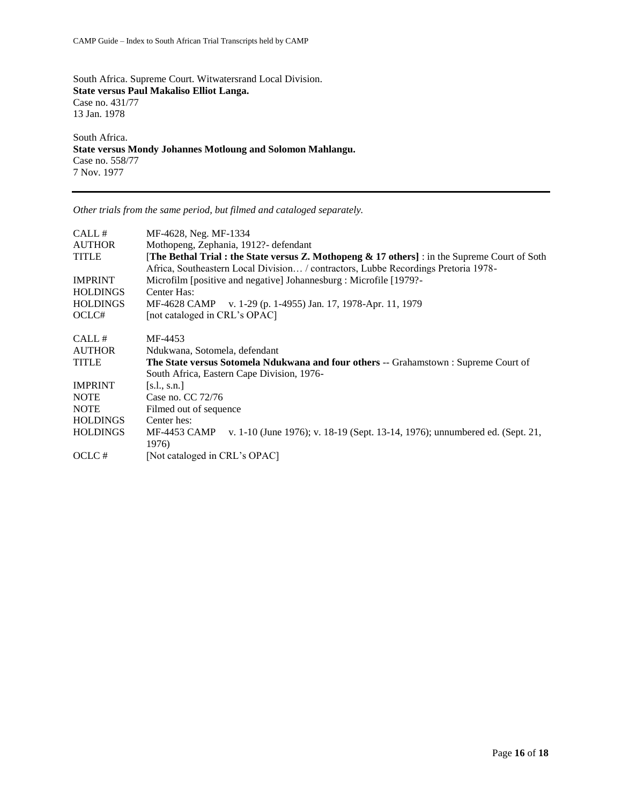South Africa. Supreme Court. Witwatersrand Local Division. **State versus Paul Makaliso Elliot Langa.** Case no. 431/77 13 Jan. 1978

South Africa. **State versus Mondy Johannes Motloung and Solomon Mahlangu.** Case no. 558/77 7 Nov. 1977

*Other trials from the same period, but filmed and cataloged separately.* 

| CALL#           | MF-4628, Neg. MF-1334                                                                                                                                                                               |
|-----------------|-----------------------------------------------------------------------------------------------------------------------------------------------------------------------------------------------------|
| <b>AUTHOR</b>   | Mothopeng, Zephania, 1912?- defendant                                                                                                                                                               |
| <b>TITLE</b>    | <b>The Bethal Trial: the State versus Z. Mothopeng &amp; 17 others</b> $\cdot$ : in the Supreme Court of Soth<br>Africa, Southeastern Local Division / contractors, Lubbe Recordings Pretoria 1978- |
| <b>IMPRINT</b>  | Microfilm [positive and negative] Johannesburg : Microfile [1979?-                                                                                                                                  |
| <b>HOLDINGS</b> | Center Has:                                                                                                                                                                                         |
| <b>HOLDINGS</b> | MF-4628 CAMP v. 1-29 (p. 1-4955) Jan. 17, 1978-Apr. 11, 1979                                                                                                                                        |
| OCLC#           | [not cataloged in CRL's OPAC]                                                                                                                                                                       |
| CALL#           | MF-4453                                                                                                                                                                                             |
| <b>AUTHOR</b>   | Ndukwana, Sotomela, defendant                                                                                                                                                                       |
| <b>TITLE</b>    | The State versus Sotomela Ndukwana and four others -- Grahamstown : Supreme Court of                                                                                                                |
|                 | South Africa, Eastern Cape Division, 1976-                                                                                                                                                          |
| <b>IMPRINT</b>  | [s.l., s.n.]                                                                                                                                                                                        |
| <b>NOTE</b>     | Case no. CC 72/76                                                                                                                                                                                   |
| <b>NOTE</b>     | Filmed out of sequence                                                                                                                                                                              |
| <b>HOLDINGS</b> | Center hes:                                                                                                                                                                                         |
| <b>HOLDINGS</b> | v. 1-10 (June 1976); v. 18-19 (Sept. 13-14, 1976); unnumbered ed. (Sept. 21,<br>MF-4453 CAMP                                                                                                        |
|                 | 1976)                                                                                                                                                                                               |
| OCLC#           | [Not cataloged in CRL's OPAC]                                                                                                                                                                       |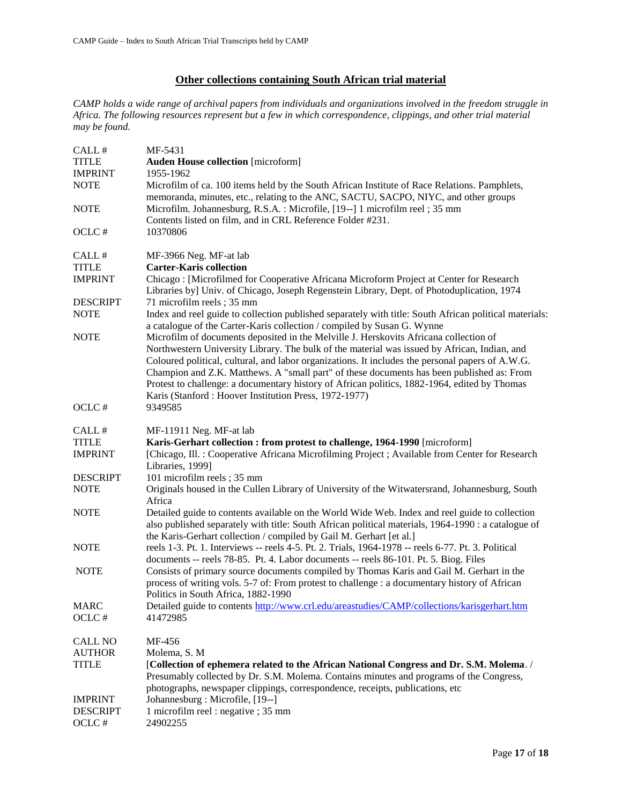# **Other collections containing South African trial material**

*CAMP holds a wide range of archival papers from individuals and organizations involved in the freedom struggle in Africa. The following resources represent but a few in which correspondence, clippings, and other trial material may be found.* 

| CALL #                         | MF-5431                                                                                                                                                                                                                                                                                                                                                                                                                                                                                                                                         |
|--------------------------------|-------------------------------------------------------------------------------------------------------------------------------------------------------------------------------------------------------------------------------------------------------------------------------------------------------------------------------------------------------------------------------------------------------------------------------------------------------------------------------------------------------------------------------------------------|
| <b>TITLE</b>                   | <b>Auden House collection</b> [microform]                                                                                                                                                                                                                                                                                                                                                                                                                                                                                                       |
| <b>IMPRINT</b>                 | 1955-1962                                                                                                                                                                                                                                                                                                                                                                                                                                                                                                                                       |
| <b>NOTE</b>                    | Microfilm of ca. 100 items held by the South African Institute of Race Relations. Pamphlets,<br>memoranda, minutes, etc., relating to the ANC, SACTU, SACPO, NIYC, and other groups                                                                                                                                                                                                                                                                                                                                                             |
| <b>NOTE</b>                    | Microfilm. Johannesburg, R.S.A.: Microfile, [19--] 1 microfilm reel; 35 mm<br>Contents listed on film, and in CRL Reference Folder #231.                                                                                                                                                                                                                                                                                                                                                                                                        |
| OCLC#                          | 10370806                                                                                                                                                                                                                                                                                                                                                                                                                                                                                                                                        |
| CALL#                          | MF-3966 Neg. MF-at lab                                                                                                                                                                                                                                                                                                                                                                                                                                                                                                                          |
| <b>TITLE</b><br><b>IMPRINT</b> | <b>Carter-Karis collection</b><br>Chicago: [Microfilmed for Cooperative Africana Microform Project at Center for Research<br>Libraries by] Univ. of Chicago, Joseph Regenstein Library, Dept. of Photoduplication, 1974                                                                                                                                                                                                                                                                                                                         |
| <b>DESCRIPT</b>                | 71 microfilm reels; 35 mm                                                                                                                                                                                                                                                                                                                                                                                                                                                                                                                       |
| <b>NOTE</b>                    | Index and reel guide to collection published separately with title: South African political materials:<br>a catalogue of the Carter-Karis collection / compiled by Susan G. Wynne                                                                                                                                                                                                                                                                                                                                                               |
| <b>NOTE</b>                    | Microfilm of documents deposited in the Melville J. Herskovits Africana collection of<br>Northwestern University Library. The bulk of the material was issued by African, Indian, and<br>Coloured political, cultural, and labor organizations. It includes the personal papers of A.W.G.<br>Champion and Z.K. Matthews. A "small part" of these documents has been published as: From<br>Protest to challenge: a documentary history of African politics, 1882-1964, edited by Thomas<br>Karis (Stanford: Hoover Institution Press, 1972-1977) |
| OCLC#                          | 9349585                                                                                                                                                                                                                                                                                                                                                                                                                                                                                                                                         |
| CALL #                         | MF-11911 Neg. MF-at lab                                                                                                                                                                                                                                                                                                                                                                                                                                                                                                                         |
| <b>TITLE</b>                   | Karis-Gerhart collection : from protest to challenge, 1964-1990 [microform]                                                                                                                                                                                                                                                                                                                                                                                                                                                                     |
| <b>IMPRINT</b>                 | [Chicago, Ill. : Cooperative Africana Microfilming Project ; Available from Center for Research<br>Libraries, 1999]                                                                                                                                                                                                                                                                                                                                                                                                                             |
| <b>DESCRIPT</b>                | 101 microfilm reels; 35 mm                                                                                                                                                                                                                                                                                                                                                                                                                                                                                                                      |
| <b>NOTE</b>                    | Originals housed in the Cullen Library of University of the Witwatersrand, Johannesburg, South<br>Africa                                                                                                                                                                                                                                                                                                                                                                                                                                        |
| <b>NOTE</b>                    | Detailed guide to contents available on the World Wide Web. Index and reel guide to collection<br>also published separately with title: South African political materials, 1964-1990 : a catalogue of<br>the Karis-Gerhart collection / compiled by Gail M. Gerhart [et al.]                                                                                                                                                                                                                                                                    |
| <b>NOTE</b>                    | reels 1-3. Pt. 1. Interviews -- reels 4-5. Pt. 2. Trials, 1964-1978 -- reels 6-77. Pt. 3. Political<br>documents -- reels 78-85. Pt. 4. Labor documents -- reels 86-101. Pt. 5. Biog. Files                                                                                                                                                                                                                                                                                                                                                     |
| <b>NOTE</b>                    | Consists of primary source documents compiled by Thomas Karis and Gail M. Gerhart in the<br>process of writing vols. 5-7 of: From protest to challenge : a documentary history of African<br>Politics in South Africa, 1882-1990                                                                                                                                                                                                                                                                                                                |
| <b>MARC</b>                    | Detailed guide to contents http://www.crl.edu/areastudies/CAMP/collections/karisgerhart.htm                                                                                                                                                                                                                                                                                                                                                                                                                                                     |
| OCLC#                          | 41472985                                                                                                                                                                                                                                                                                                                                                                                                                                                                                                                                        |
| <b>CALL NO</b>                 | MF-456                                                                                                                                                                                                                                                                                                                                                                                                                                                                                                                                          |
| <b>AUTHOR</b>                  | Molema, S. M                                                                                                                                                                                                                                                                                                                                                                                                                                                                                                                                    |
| <b>TITLE</b>                   | [Collection of ephemera related to the African National Congress and Dr. S.M. Molema. /<br>Presumably collected by Dr. S.M. Molema. Contains minutes and programs of the Congress,                                                                                                                                                                                                                                                                                                                                                              |
| <b>IMPRINT</b>                 | photographs, newspaper clippings, correspondence, receipts, publications, etc<br>Johannesburg : Microfile, [19--]                                                                                                                                                                                                                                                                                                                                                                                                                               |
| <b>DESCRIPT</b><br>OCLC#       | 1 microfilm reel : negative ; 35 mm<br>24902255                                                                                                                                                                                                                                                                                                                                                                                                                                                                                                 |